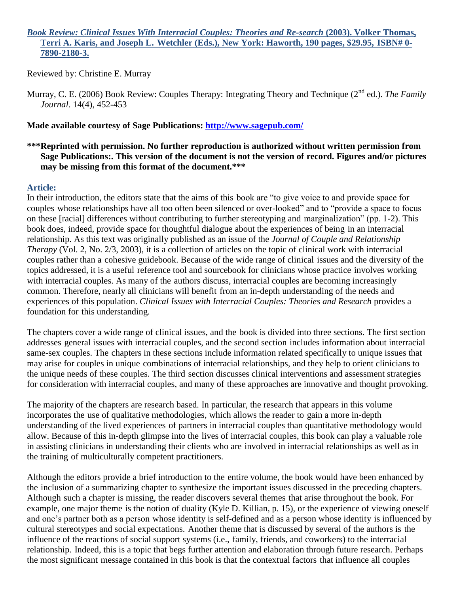## *Book Review: Clinical Issues With Interracial Couples: Theories and Re-search* **(2003). Volker Thomas, Terri A. Karis, and Joseph L. Wetchler (Eds.), New York: Haworth, 190 pages, \$29.95, ISBN# 0- 7890-2180-3.**

Reviewed by: Christine E. Murray

Murray, C. E. (2006) Book Review: Couples Therapy: Integrating Theory and Technique (2<sup>nd</sup> ed.). *The Family Journal*. 14(4), 452-453

## **Made available courtesy of Sage Publications:<http://www.sagepub.com/>**

**\*\*\*Reprinted with permission. No further reproduction is authorized without written permission from Sage Publications:. This version of the document is not the version of record. Figures and/or pictures may be missing from this format of the document.\*\*\***

## **Article:**

In their introduction, the editors state that the aims of this book are "to give voice to and provide space for couples whose relationships have all too often been silenced or over-looked" and to "provide a space to focus on these [racial] differences without contributing to further stereotyping and marginalization" (pp. 1-2). This book does, indeed, provide space for thoughtful dialogue about the experiences of being in an interracial relationship. As this text was originally published as an issue of the *Journal of Couple and Relationship Therapy* (Vol. 2, No. 2/3, 2003), it is a collection of articles on the topic of clinical work with interracial couples rather than a cohesive guidebook. Because of the wide range of clinical issues and the diversity of the topics addressed, it is a useful reference tool and sourcebook for clinicians whose practice involves working with interracial couples. As many of the authors discuss, interracial couples are becoming increasingly common. Therefore, nearly all clinicians will benefit from an in-depth understanding of the needs and experiences of this population. *Clinical Issues with Interracial Couples: Theories and Research* provides a foundation for this understanding.

The chapters cover a wide range of clinical issues, and the book is divided into three sections. The first section addresses general issues with interracial couples, and the second section includes information about interracial same-sex couples. The chapters in these sections include information related specifically to unique issues that may arise for couples in unique combinations of interracial relationships, and they help to orient clinicians to the unique needs of these couples. The third section discusses clinical interventions and assessment strategies for consideration with interracial couples, and many of these approaches are innovative and thought provoking.

The majority of the chapters are research based. In particular, the research that appears in this volume incorporates the use of qualitative methodologies, which allows the reader to gain a more in-depth understanding of the lived experiences of partners in interracial couples than quantitative methodology would allow. Because of this in-depth glimpse into the lives of interracial couples, this book can play a valuable role in assisting clinicians in understanding their clients who are involved in interracial relationships as well as in the training of multiculturally competent practitioners.

Although the editors provide a brief introduction to the entire volume, the book would have been enhanced by the inclusion of a summarizing chapter to synthesize the important issues discussed in the preceding chapters. Although such a chapter is missing, the reader discovers several themes that arise throughout the book. For example, one major theme is the notion of duality (Kyle D. Killian, p. 15), or the experience of viewing oneself and one's partner both as a person whose identity is self-defined and as a person whose identity is influenced by cultural stereotypes and social expectations. Another theme that is discussed by several of the authors is the influence of the reactions of social support systems (i.e., family, friends, and coworkers) to the interracial relationship. Indeed, this is a topic that begs further attention and elaboration through future research. Perhaps the most significant message contained in this book is that the contextual factors that influence all couples